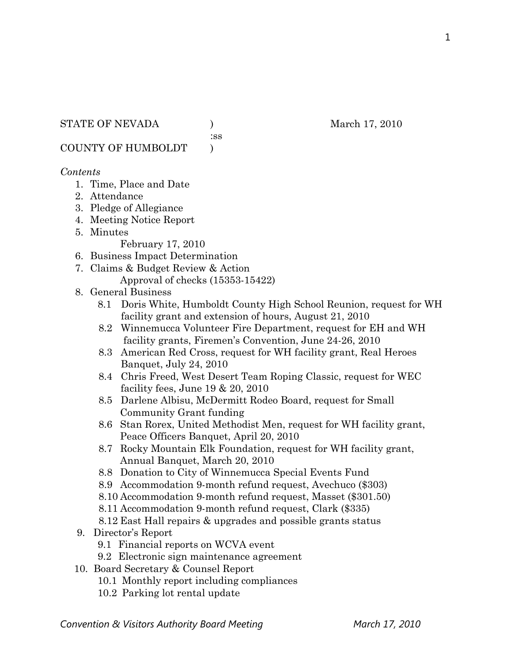1

## STATE OF NEVADA (a) and  $M$  and  $M$ , 2010

:ss

COUNTY OF HUMBOLDT )

# *Contents*

- 1. Time, Place and Date
- 2. Attendance
- 3. Pledge of Allegiance
- 4. Meeting Notice Report
- 5. Minutes

February 17, 2010

- 6. Business Impact Determination
- 7. Claims & Budget Review & Action Approval of checks (15353-15422)

# 8. General Business

- 8.1 Doris White, Humboldt County High School Reunion, request for WH facility grant and extension of hours, August 21, 2010
- 8.2 Winnemucca Volunteer Fire Department, request for EH and WH facility grants, Firemen's Convention, June 24-26, 2010
- 8.3 American Red Cross, request for WH facility grant, Real Heroes Banquet, July 24, 2010
- 8.4 Chris Freed, West Desert Team Roping Classic, request for WEC facility fees, June 19 & 20, 2010
- 8.5 Darlene Albisu, McDermitt Rodeo Board, request for Small Community Grant funding
- 8.6 Stan Rorex, United Methodist Men, request for WH facility grant, Peace Officers Banquet, April 20, 2010
- 8.7 Rocky Mountain Elk Foundation, request for WH facility grant, Annual Banquet, March 20, 2010
- 8.8 Donation to City of Winnemucca Special Events Fund
- 8.9 Accommodation 9-month refund request, Avechuco (\$303)
- 8.10 Accommodation 9-month refund request, Masset (\$301.50)
- 8.11 Accommodation 9-month refund request, Clark (\$335)
- 8.12 East Hall repairs & upgrades and possible grants status
- 9. Director's Report
	- 9.1 Financial reports on WCVA event
	- 9.2 Electronic sign maintenance agreement
- 10. Board Secretary & Counsel Report
	- 10.1 Monthly report including compliances
	- 10.2 Parking lot rental update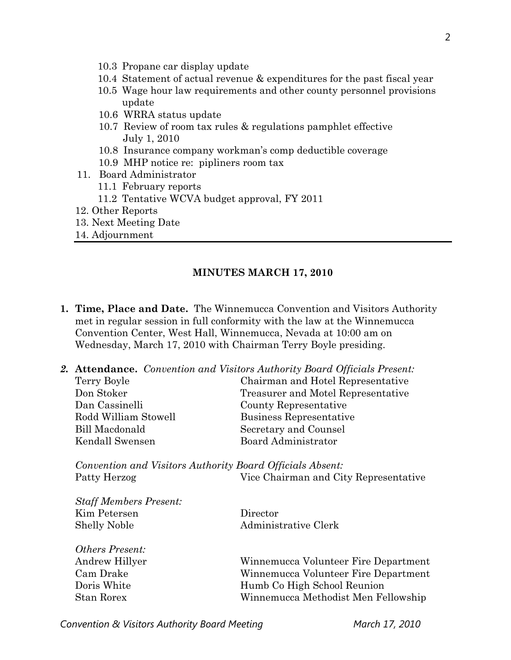- 10.3 Propane car display update
- 10.4 Statement of actual revenue & expenditures for the past fiscal year
- 10.5 Wage hour law requirements and other county personnel provisions update
- 10.6 WRRA status update
- 10.7 Review of room tax rules & regulations pamphlet effective July 1, 2010
- 10.8 Insurance company workman's comp deductible coverage
- 10.9 MHP notice re: pipliners room tax
- 11. Board Administrator
	- 11.1 February reports
	- 11.2 Tentative WCVA budget approval, FY 2011
- 12. Other Reports
- 13. Next Meeting Date
- 14. Adjournment

#### **MINUTES MARCH 17, 2010**

- **1. Time, Place and Date.** The Winnemucca Convention and Visitors Authority met in regular session in full conformity with the law at the Winnemucca Convention Center, West Hall, Winnemucca, Nevada at 10:00 am on Wednesday, March 17, 2010 with Chairman Terry Boyle presiding.
- *2.* **Attendance.** *Convention and Visitors Authority Board Officials Present:*  Terry Boyle Chairman and Hotel Representative Don Stoker Treasurer and Motel Representative Dan Cassinelli County Representative Rodd William Stowell Business Representative

Bill Macdonald Secretary and Counsel Kendall Swensen Board Administrator

*Convention and Visitors Authority Board Officials Absent:*  Patty Herzog Vice Chairman and City Representative

| Director             |
|----------------------|
| Administrative Clerk |
|                      |

| Andrew Hillyer | Winnemucca Volunteer Fire Department |
|----------------|--------------------------------------|
| Cam Drake      | Winnemucca Volunteer Fire Department |
| Doris White    | Humb Co High School Reunion          |
| Stan Rorex     | Winnemucca Methodist Men Fellowship  |
|                |                                      |

**Convention & Visitors Authority Board Meeting March 17, 2010** 

*Others Present:*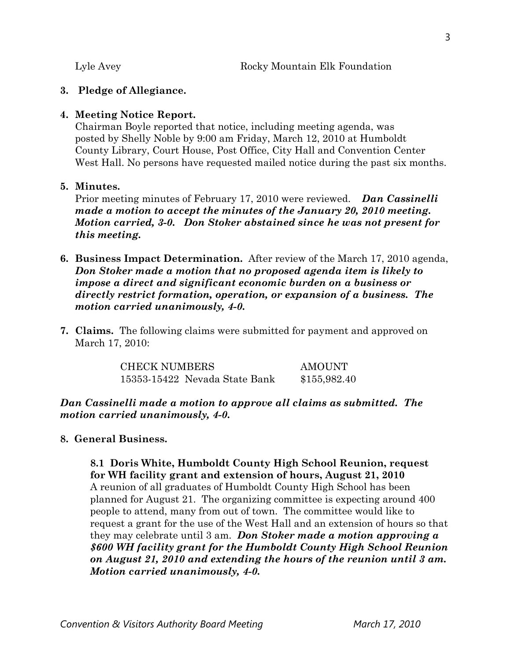## **3. Pledge of Allegiance.**

## **4. Meeting Notice Report.**

Chairman Boyle reported that notice, including meeting agenda, was posted by Shelly Noble by 9:00 am Friday, March 12, 2010 at Humboldt County Library, Court House, Post Office, City Hall and Convention Center West Hall. No persons have requested mailed notice during the past six months.

## **5. Minutes.**

Prior meeting minutes of February 17, 2010 were reviewed. *Dan Cassinelli made a motion to accept the minutes of the January 20, 2010 meeting. Motion carried, 3-0. Don Stoker abstained since he was not present for this meeting.* 

- **6. Business Impact Determination.** After review of the March 17, 2010 agenda, *Don Stoker made a motion that no proposed agenda item is likely to impose a direct and significant economic burden on a business or directly restrict formation, operation, or expansion of a business. The motion carried unanimously, 4-0.*
- **7. Claims.** The following claims were submitted for payment and approved on March 17, 2010:

CHECK NUMBERS AMOUNT 15353-15422 Nevada State Bank \$155,982.40

*Dan Cassinelli made a motion to approve all claims as submitted. The motion carried unanimously, 4-0.*

# **8. General Business.**

**8.1 Doris White, Humboldt County High School Reunion, request for WH facility grant and extension of hours, August 21, 2010**  A reunion of all graduates of Humboldt County High School has been planned for August 21. The organizing committee is expecting around 400 people to attend, many from out of town. The committee would like to request a grant for the use of the West Hall and an extension of hours so that they may celebrate until 3 am. *Don Stoker made a motion approving a \$600 WH facility grant for the Humboldt County High School Reunion on August 21, 2010 and extending the hours of the reunion until 3 am. Motion carried unanimously, 4-0.*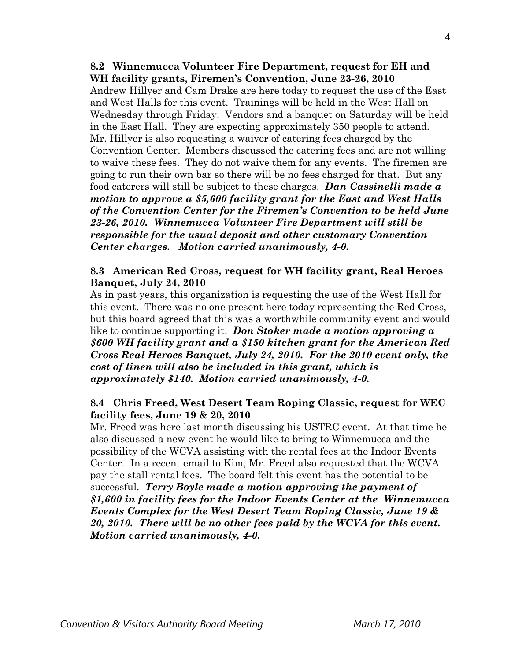**8.2 Winnemucca Volunteer Fire Department, request for EH and WH facility grants, Firemen's Convention, June 23-26, 2010**  Andrew Hillyer and Cam Drake are here today to request the use of the East and West Halls for this event. Trainings will be held in the West Hall on Wednesday through Friday. Vendors and a banquet on Saturday will be held in the East Hall. They are expecting approximately 350 people to attend. Mr. Hillyer is also requesting a waiver of catering fees charged by the Convention Center. Members discussed the catering fees and are not willing to waive these fees. They do not waive them for any events. The firemen are going to run their own bar so there will be no fees charged for that. But any food caterers will still be subject to these charges. *Dan Cassinelli made a motion to approve a \$5,600 facility grant for the East and West Halls of the Convention Center for the Firemen's Convention to be held June 23-26, 2010. Winnemucca Volunteer Fire Department will still be responsible for the usual deposit and other customary Convention Center charges. Motion carried unanimously, 4-0.* 

## **8.3 American Red Cross, request for WH facility grant, Real Heroes Banquet, July 24, 2010**

As in past years, this organization is requesting the use of the West Hall for this event. There was no one present here today representing the Red Cross, but this board agreed that this was a worthwhile community event and would like to continue supporting it. *Don Stoker made a motion approving a \$600 WH facility grant and a \$150 kitchen grant for the American Red Cross Real Heroes Banquet, July 24, 2010. For the 2010 event only, the cost of linen will also be included in this grant, which is approximately \$140. Motion carried unanimously, 4-0.* 

# **8.4 Chris Freed, West Desert Team Roping Classic, request for WEC facility fees, June 19 & 20, 2010**

Mr. Freed was here last month discussing his USTRC event. At that time he also discussed a new event he would like to bring to Winnemucca and the possibility of the WCVA assisting with the rental fees at the Indoor Events Center. In a recent email to Kim, Mr. Freed also requested that the WCVA pay the stall rental fees. The board felt this event has the potential to be successful. *Terry Boyle made a motion approving the payment of \$1,600 in facility fees for the Indoor Events Center at the Winnemucca Events Complex for the West Desert Team Roping Classic, June 19 & 20, 2010. There will be no other fees paid by the WCVA for this event. Motion carried unanimously, 4-0.*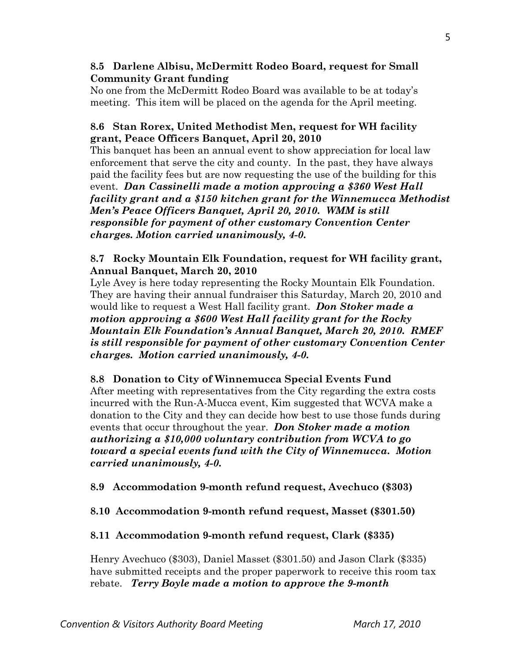## **8.5 Darlene Albisu, McDermitt Rodeo Board, request for Small Community Grant funding**

No one from the McDermitt Rodeo Board was available to be at today's meeting. This item will be placed on the agenda for the April meeting.

# **8.6 Stan Rorex, United Methodist Men, request for WH facility grant, Peace Officers Banquet, April 20, 2010**

This banquet has been an annual event to show appreciation for local law enforcement that serve the city and county. In the past, they have always paid the facility fees but are now requesting the use of the building for this event. *Dan Cassinelli made a motion approving a \$360 West Hall facility grant and a \$150 kitchen grant for the Winnemucca Methodist Men's Peace Officers Banquet, April 20, 2010. WMM is still responsible for payment of other customary Convention Center charges. Motion carried unanimously, 4-0.* 

# **8.7 Rocky Mountain Elk Foundation, request for WH facility grant, Annual Banquet, March 20, 2010**

Lyle Avey is here today representing the Rocky Mountain Elk Foundation. They are having their annual fundraiser this Saturday, March 20, 2010 and would like to request a West Hall facility grant. *Don Stoker made a motion approving a \$600 West Hall facility grant for the Rocky Mountain Elk Foundation's Annual Banquet, March 20, 2010. RMEF is still responsible for payment of other customary Convention Center charges. Motion carried unanimously, 4-0.* 

# **8.8 Donation to City of Winnemucca Special Events Fund**

After meeting with representatives from the City regarding the extra costs incurred with the Run-A-Mucca event, Kim suggested that WCVA make a donation to the City and they can decide how best to use those funds during events that occur throughout the year. *Don Stoker made a motion authorizing a \$10,000 voluntary contribution from WCVA to go toward a special events fund with the City of Winnemucca. Motion carried unanimously, 4-0.* 

# **8.9 Accommodation 9-month refund request, Avechuco (\$303)**

# **8.10 Accommodation 9-month refund request, Masset (\$301.50)**

# **8.11 Accommodation 9-month refund request, Clark (\$335)**

Henry Avechuco (\$303), Daniel Masset (\$301.50) and Jason Clark (\$335) have submitted receipts and the proper paperwork to receive this room tax rebate. *Terry Boyle made a motion to approve the 9-month*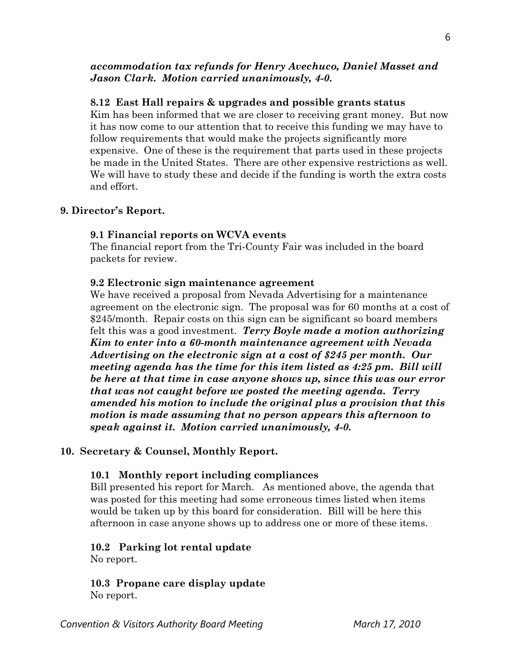## *accommodation tax refunds for Henry Avechuco, Daniel Masset and Jason Clark. Motion carried unanimously, 4-0.*

### **8.12 East Hall repairs & upgrades and possible grants status**

Kim has been informed that we are closer to receiving grant money. But now it has now come to our attention that to receive this funding we may have to follow requirements that would make the projects significantly more expensive. One of these is the requirement that parts used in these projects be made in the United States. There are other expensive restrictions as well. We will have to study these and decide if the funding is worth the extra costs and effort.

#### **9. Director's Report.**

#### **9.1 Financial reports on WCVA events**

The financial report from the Tri-County Fair was included in the board packets for review.

#### **9.2 Electronic sign maintenance agreement**

We have received a proposal from Nevada Advertising for a maintenance agreement on the electronic sign. The proposal was for 60 months at a cost of \$245/month. Repair costs on this sign can be significant so board members felt this was a good investment. *Terry Boyle made a motion authorizing Kim to enter into a 60-month maintenance agreement with Nevada Advertising on the electronic sign at a cost of \$245 per month. Our meeting agenda has the time for this item listed as 4:25 pm. Bill will be here at that time in case anyone shows up, since this was our error that was not caught before we posted the meeting agenda. Terry amended his motion to include the original plus a provision that this motion is made assuming that no person appears this afternoon to speak against it. Motion carried unanimously, 4-0.* 

#### **10. Secretary & Counsel, Monthly Report.**

#### **10.1 Monthly report including compliances**

Bill presented his report for March. As mentioned above, the agenda that was posted for this meeting had some erroneous times listed when items would be taken up by this board for consideration. Bill will be here this afternoon in case anyone shows up to address one or more of these items.

#### **10.2 Parking lot rental update**

No report.

**10.3 Propane care display update**  No report.

**Convention & Visitors Authority Board Meeting March 17, 2010**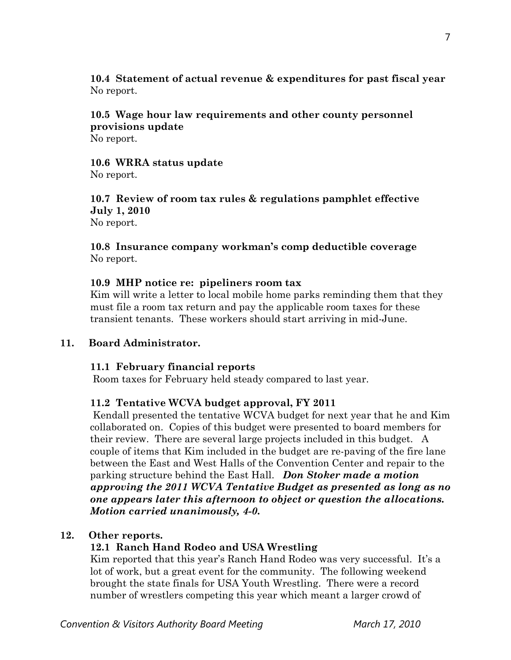**10.4 Statement of actual revenue & expenditures for past fiscal year** No report.

# **10.5 Wage hour law requirements and other county personnel provisions update**

No report.

**10.6 WRRA status update**  No report.

**10.7 Review of room tax rules & regulations pamphlet effective July 1, 2010**  No report.

**10.8 Insurance company workman's comp deductible coverage**  No report.

## **10.9 MHP notice re: pipeliners room tax**

Kim will write a letter to local mobile home parks reminding them that they must file a room tax return and pay the applicable room taxes for these transient tenants. These workers should start arriving in mid-June.

## **11. Board Administrator.**

## **11.1 February financial reports**

Room taxes for February held steady compared to last year.

## **11.2 Tentative WCVA budget approval, FY 2011**

 Kendall presented the tentative WCVA budget for next year that he and Kim collaborated on. Copies of this budget were presented to board members for their review. There are several large projects included in this budget. A couple of items that Kim included in the budget are re-paving of the fire lane between the East and West Halls of the Convention Center and repair to the parking structure behind the East Hall. *Don Stoker made a motion approving the 2011 WCVA Tentative Budget as presented as long as no one appears later this afternoon to object or question the allocations. Motion carried unanimously, 4-0.* 

## **12. Other reports.**

# **12.1 Ranch Hand Rodeo and USA Wrestling**

Kim reported that this year's Ranch Hand Rodeo was very successful. It's a lot of work, but a great event for the community. The following weekend brought the state finals for USA Youth Wrestling. There were a record number of wrestlers competing this year which meant a larger crowd of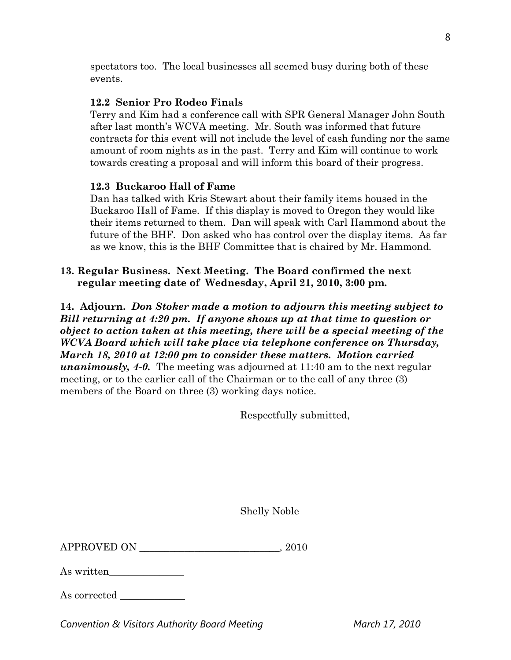spectators too. The local businesses all seemed busy during both of these events.

# **12.2 Senior Pro Rodeo Finals**

Terry and Kim had a conference call with SPR General Manager John South after last month's WCVA meeting. Mr. South was informed that future contracts for this event will not include the level of cash funding nor the same amount of room nights as in the past. Terry and Kim will continue to work towards creating a proposal and will inform this board of their progress.

# **12.3 Buckaroo Hall of Fame**

Dan has talked with Kris Stewart about their family items housed in the Buckaroo Hall of Fame. If this display is moved to Oregon they would like their items returned to them. Dan will speak with Carl Hammond about the future of the BHF. Don asked who has control over the display items. As far as we know, this is the BHF Committee that is chaired by Mr. Hammond.

# **13. Regular Business. Next Meeting. The Board confirmed the next regular meeting date of Wednesday, April 21, 2010, 3:00 pm.**

**14. Adjourn.** *Don Stoker made a motion to adjourn this meeting subject to Bill returning at 4:20 pm. If anyone shows up at that time to question or object to action taken at this meeting, there will be a special meeting of the WCVA Board which will take place via telephone conference on Thursday, March 18, 2010 at 12:00 pm to consider these matters. Motion carried unanimously, 4-0.* The meeting was adjourned at 11:40 am to the next regular meeting, or to the earlier call of the Chairman or to the call of any three (3) members of the Board on three (3) working days notice.

Respectfully submitted,

Shelly Noble

| <b>APPROVED ON</b> | .2010 |
|--------------------|-------|
|--------------------|-------|

As written\_\_\_\_\_\_\_\_\_\_\_\_\_\_\_

As corrected

**Convention & Visitors Authority Board Meeting March 17, 2010**